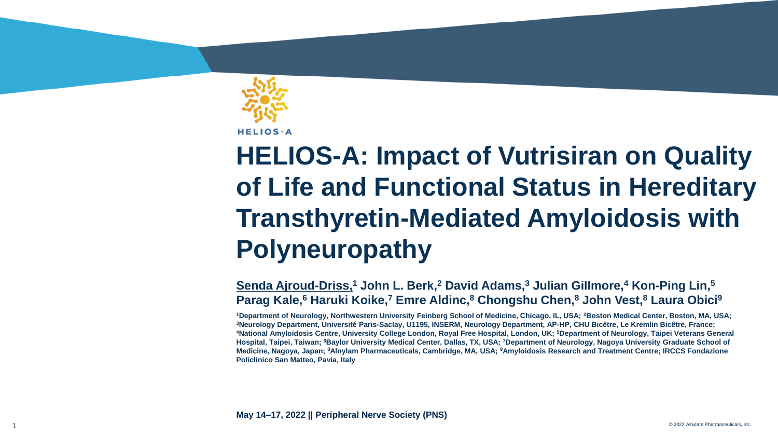

# **HELIOS-A: Impact of Vutrisiran on Quality of Life and Functional Status in Hereditary Transthyretin-Mediated Amyloidosis with Polyneuropathy**

#### **Senda Ajroud-Driss,<sup>1</sup> John L. Berk,<sup>2</sup> David Adams,<sup>3</sup> Julian Gillmore,<sup>4</sup> Kon-Ping Lin,<sup>5</sup> Parag Kale,<sup>6</sup> Haruki Koike,<sup>7</sup> Emre Aldinc,<sup>8</sup> Chongshu Chen,<sup>8</sup> John Vest,<sup>8</sup> Laura Obici<sup>9</sup>**

**<sup>1</sup>Department of Neurology, Northwestern University Feinberg School of Medicine, Chicago, IL, USA; <sup>2</sup>Boston Medical Center, Boston, MA, USA; <sup>3</sup>Neurology Department, Université Paris-Saclay, U1195, INSERM, Neurology Department, AP-HP, CHU Bicêtre, Le Kremlin Bicêtre, France; <sup>4</sup>National Amyloidosis Centre, University College London, Royal Free Hospital, London, UK; <sup>5</sup>Department of Neurology, Taipei Veterans General Hospital, Taipei, Taiwan; <sup>6</sup>Baylor University Medical Center, Dallas, TX, USA; <sup>7</sup>Department of Neurology, Nagoya University Graduate School of Medicine, Nagoya, Japan; <sup>8</sup>Alnylam Pharmaceuticals, Cambridge, MA, USA; <sup>9</sup>Amyloidosis Research and Treatment Centre; IRCCS Fondazione Policlinico San Matteo, Pavia, Italy**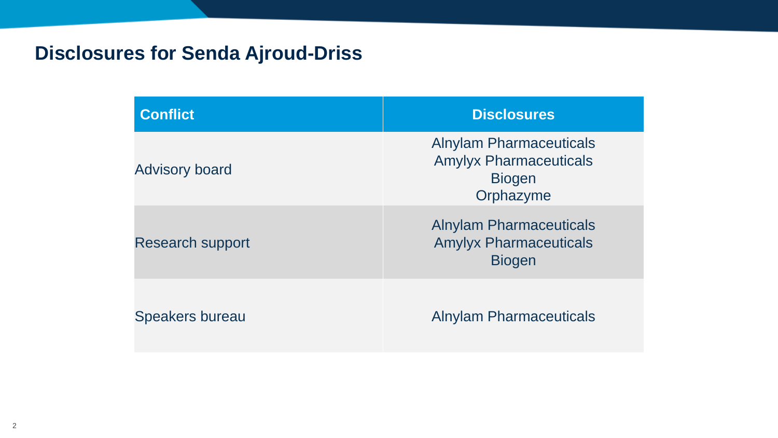## **Disclosures for Senda Ajroud-Driss**

| <b>Conflict</b>         | <b>Disclosures</b>                                                                            |  |  |
|-------------------------|-----------------------------------------------------------------------------------------------|--|--|
| <b>Advisory board</b>   | <b>Alnylam Pharmaceuticals</b><br><b>Amylyx Pharmaceuticals</b><br><b>Biogen</b><br>Orphazyme |  |  |
| <b>Research support</b> | <b>Alnylam Pharmaceuticals</b><br><b>Amylyx Pharmaceuticals</b><br><b>Biogen</b>              |  |  |
| <b>Speakers bureau</b>  | <b>Alnylam Pharmaceuticals</b>                                                                |  |  |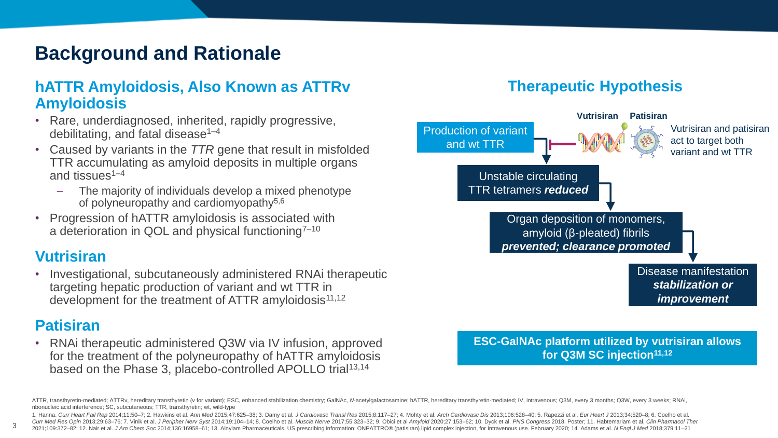### **Background and Rationale**

### **hATTR Amyloidosis, Also Known as ATTRv Amyloidosis**

- Rare, underdiagnosed, inherited, rapidly progressive, debilitating, and fatal disease $1-4$
- Caused by variants in the *TTR* gene that result in misfolded TTR accumulating as amyloid deposits in multiple organs and tissues $1-4$ 
	- The majority of individuals develop a mixed phenotype of polyneuropathy and cardiomyopathy5,6
- Progression of hATTR amyloidosis is associated with a deterioration in QOL and physical functioning<sup>7-10</sup>

### **Vutrisiran**

• Investigational, subcutaneously administered RNAi therapeutic targeting hepatic production of variant and wt TTR in development for the treatment of ATTR amyloidosis<sup>11,12</sup>

### **Patisiran**

• RNAi therapeutic administered Q3W via IV infusion, approved for the treatment of the polyneuropathy of hATTR amyloidosis based on the Phase 3, placebo-controlled APOLLO trial<sup>13,14</sup>

### **Therapeutic Hypothesis**



**ESC-GalNAc platform utilized by vutrisiran allows for Q3M SC injection11,12**

ATTR, transthyretin-mediated; ATTRv, hereditary transthyretin (v for variant); ESC, enhanced stabilization chemistry; GaINAc, N-acetylgalactosamine; hATTR, hereditary transthyretin-mediated; IV, intravenous; Q3M, every 3 m ribonucleic acid interference; SC, subcutaneous; TTR, transthyretin; wt, wild-type

1. Hanna. Curr Heart Fail Rep 2014;11:50-7; 2. Hawkins et al. Ann Med 2015;47:625-38; 3. Damy et al. J Cardiovasc Transl Res 2015;8:117-27; 4. Mohty et al. Arch Cardiovasc Dis 2013;106:528-40; 5. Rapezzi et al. Eur Heart J Curr Med Res Opin 2013;29:63-76; 7. Vinik et al. J Peripher Nerv Syst 2014;19:104-14; 8. Coelho et al. Muscle Nerve 2017;55:323-32; 9. Obici et al Amyloid 2020;27:153-62; 10. Dyck et al. PNS Congress 2018. Poster; 11. Habt 2021;109:372-82; 12. Nair et al. J Am Chem Soc 2014;136:16958-61; 13. Alnylam Pharmaceuticals. US prescribing information: ONPATTRO® (patisiran) lipid complex injection, for intravenous use. February 2020; 14. Adams et al.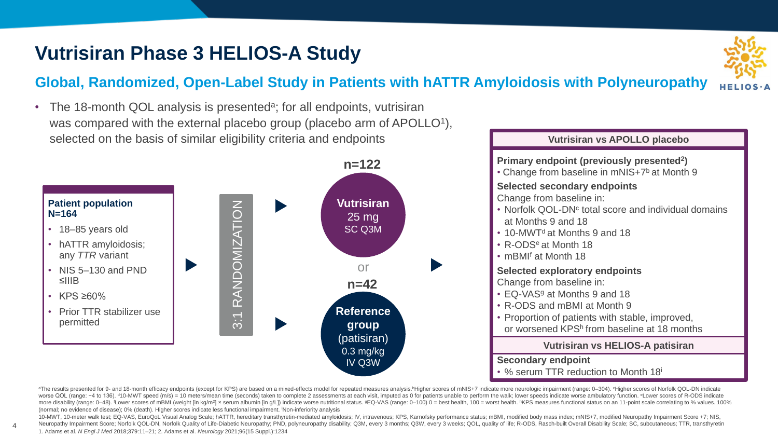## **Vutrisiran Phase 3 HELIOS-A Study**

• The 18-month QOL analysis is presented<sup>a</sup>; for all endpoints, vutrisiran

was compared with the external placebo group (placebo arm of APOLLO<sup>1</sup>),

#### **Global, Randomized, Open-Label Study in Patients with hATTR Amyloidosis with Polyneuropathy**



aThe results presented for 9- and 18-month efficacy endpoints (except for KPS) are based on a mixed-effects model for repeated measures analysis.<sup>b</sup>Higher scores of mNIS+7 indicate more neurologic impairment (range: 0-304) worse QOL (range: -4 to 136). <sup>d</sup>10-MWT speed (m/s) = 10 meters/mean time (seconds) taken to complete 2 assessments at each visit, imputed as 0 for patients unable to perform the walk; lower speeds indicate worse ambulator more disability (range: 0–48). Lower scores of mBMI (weight [in kg/m<sup>2</sup>] × serum albumin [in g/L]) indicate worse nutritional status. <sup>9</sup>EQ-VAS (range: 0–100) 0 = best health, 100 = worst health. <sup>h</sup>KPS measures functional (normal; no evidence of disease); 0% (death). Higher scores indicate less functional impairment. <sup>i</sup>Non-inferiority analysis

10-MWT, 10-meter walk test; EQ-VAS, EuroQoL Visual Analog Scale; hATTR, hereditary transthyretin-mediated amyloidosis; IV, intravenous; KPS, Karnofsky performance status; mBMI, modified body mass index; mNIS+7, modified Ne Neuropathy Impairment Score; Norfolk QOL-DN, Norfolk Quality of Life-Diabetic Neuropathy; PND, polyneuropathy disability; Q3M, every 3 months; Q3W, every 3 weeks; QOL, quality of life; R-ODS, Rasch-built Overall Disability 1. Adams et al. *N Engl J Med* 2018;379:11–21; 2. Adams et al. *Neurology* 2021;96(15 Suppl.):1234



 $\Delta$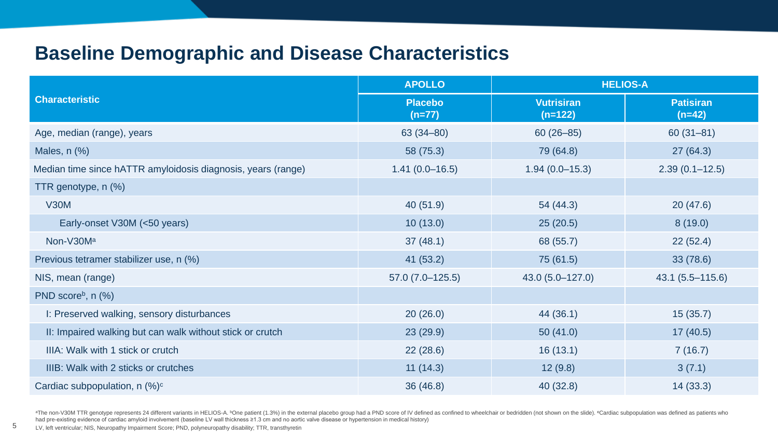### **Baseline Demographic and Disease Characteristics**

| <b>Characteristic</b>                                        | <b>APOLLO</b>              | <b>HELIOS-A</b>                |                              |
|--------------------------------------------------------------|----------------------------|--------------------------------|------------------------------|
|                                                              | <b>Placebo</b><br>$(n=77)$ | <b>Vutrisiran</b><br>$(n=122)$ | <b>Patisiran</b><br>$(n=42)$ |
| Age, median (range), years                                   | $63(34 - 80)$              | $60(26 - 85)$                  | $60(31 - 81)$                |
| Males, $n$ $%$                                               | 58 (75.3)                  | 79 (64.8)                      | 27(64.3)                     |
| Median time since hATTR amyloidosis diagnosis, years (range) | $1.41(0.0-16.5)$           | $1.94(0.0-15.3)$               | $2.39(0.1 - 12.5)$           |
| TTR genotype, n (%)                                          |                            |                                |                              |
| <b>V30M</b>                                                  | 40(51.9)                   | 54 (44.3)                      | 20(47.6)                     |
| Early-onset V30M (<50 years)                                 | 10(13.0)                   | 25(20.5)                       | 8(19.0)                      |
| Non-V30Ma                                                    | 37(48.1)                   | 68 (55.7)                      | 22(52.4)                     |
| Previous tetramer stabilizer use, n (%)                      | 41 (53.2)                  | 75 (61.5)                      | 33(78.6)                     |
| NIS, mean (range)                                            | $57.0 (7.0 - 125.5)$       | 43.0 (5.0–127.0)               | $43.1 (5.5 - 115.6)$         |
| PND score <sup>b</sup> , $n$ (%)                             |                            |                                |                              |
| I: Preserved walking, sensory disturbances                   | 20(26.0)                   | 44 (36.1)                      | 15(35.7)                     |
| II: Impaired walking but can walk without stick or crutch    | 23(29.9)                   | 50(41.0)                       | 17(40.5)                     |
| IIIA: Walk with 1 stick or crutch                            | 22(28.6)                   | 16(13.1)                       | 7(16.7)                      |
| IIIB: Walk with 2 sticks or crutches                         | 11(14.3)                   | 12(9.8)                        | 3(7.1)                       |
| Cardiac subpopulation, $n$ (%) <sup>c</sup>                  | 36 (46.8)                  | 40 (32.8)                      | 14(33.3)                     |

a The non-V30M TTR genotype represents 24 different variants in HELIOS-A. bOne patient (1.3%) in the external placebo group had a PND score of IV defined as confined to wheelchair or bedridden (not shown on the slide). Car had pre-existing evidence of cardiac amyloid involvement (baseline LV wall thickness ≥1.3 cm and no aortic valve disease or hypertension in medical history)

LV, left ventricular; NIS, Neuropathy Impairment Score; PND, polyneuropathy disability; TTR, transthyretin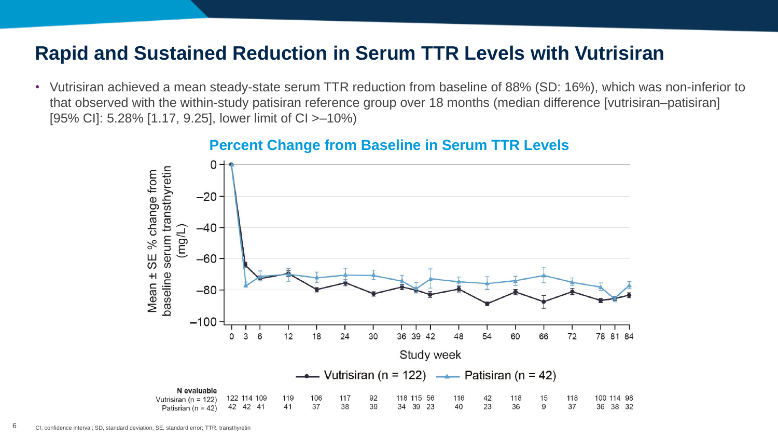### **Rapid and Sustained Reduction in Serum TTR Levels with Vutrisiran**

• Vutrisiran achieved a mean steady-state serum TTR reduction from baseline of 88% (SD: 16%), which was non-inferior to that observed with the within-study patisiran reference group over 18 months (median difference [vutrisiran–patisiran] [95% CI]: 5.28% [1.17, 9.25], lower limit of CI >–10%)



#### **Percent Change from Baseline in Serum TTR Levels**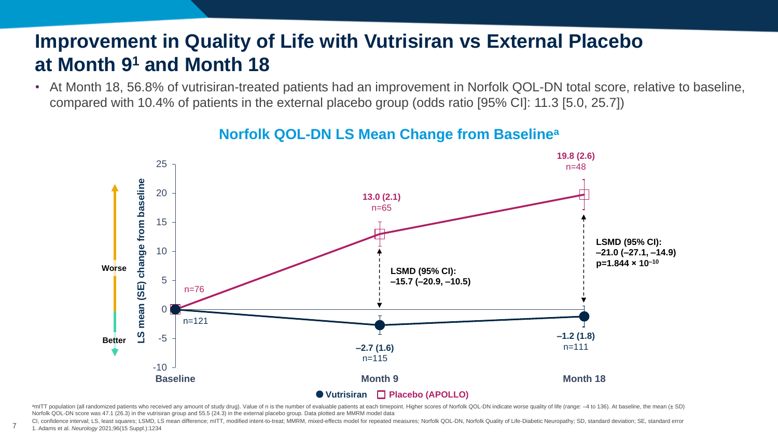# **Improvement in Quality of Life with Vutrisiran vs External Placebo at Month 9<sup>1</sup> and Month 18**

• At Month 18, 56.8% of vutrisiran-treated patients had an improvement in Norfolk QOL-DN total score, relative to baseline, compared with 10.4% of patients in the external placebo group (odds ratio [95% CI]: 11.3 [5.0, 25.7])



#### **Norfolk QOL-DN LS Mean Change from Baseline<sup>a</sup>**

amITT population (all randomized patients who received any amount of study drug). Value of n is the number of evaluable patients at each timepoint. Higher scores of Norfolk QOL-DN indicate worse quality of life (range: -4 Norfolk QOL-DN score was 47.1 (26.3) in the vutrisiran group and 55.5 (24.3) in the external placebo group. Data plotted are MMRM model data

CI, confidence interval; LS, least squares; LSMD, LS mean difference; mITT, modified intent-to-treat; MMRM, mixed-effects model for repeated measures; Norfolk QOL-DN, Norfolk Quality of Life-Diabetic Neuropathy; SD, standa 1. Adams et al. *Neurology* 2021;96(15 Suppl.):1234

7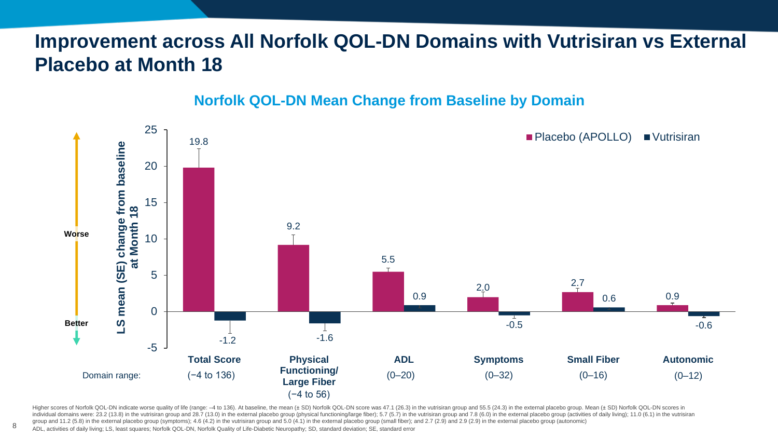# **Improvement across All Norfolk QOL-DN Domains with Vutrisiran vs External Placebo at Month 18**

#### **Norfolk QOL-DN Mean Change from Baseline by Domain**

![](_page_7_Figure_2.jpeg)

Higher scores of Norfolk QOL-DN indicate worse quality of life (range: -4 to 136). At baseline, the mean (± SD) Norfolk QOL-DN score was 47.1 (26.3) in the vutrisiran group and 55.5 (24.3) in the external placebo group. Me individual domains were: 23.2 (13.8) in the vutrisiran group and 28.7 (13.0) in the external placebo group (physical functioning/large fiber); 5.7 (5.7) in the vutrisiran group and 7.8 (6.0) in the external placebo group ( group and 11.2 (5.8) in the external placebo group (symptoms); 4.6 (4.2) in the vutrisiran group and 5.0 (4.1) in the external placebo group (small fiber); and 2.7 (2.9) and 2.9 (2.9) in the external placebo group (autonom

ADL, activities of daily living; LS, least squares; Norfolk QOL-DN, Norfolk Quality of Life-Diabetic Neuropathy; SD, standard deviation; SE, standard error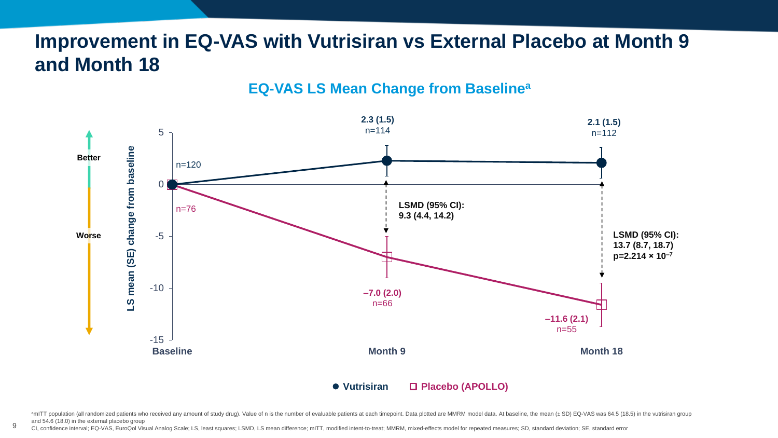# **Improvement in EQ-VAS with Vutrisiran vs External Placebo at Month 9 and Month 18**

#### **EQ-VAS LS Mean Change from Baseline<sup>a</sup>**

![](_page_8_Figure_2.jpeg)

amITT population (all randomized patients who received any amount of study drug). Value of n is the number of evaluable patients at each timepoint. Data plotted are MMRM model data. At baseline, the mean (± SD) EQ-VAS was and 54.6 (18.0) in the external placebo group

CI, confidence interval; EQ-VAS, EuroQol Visual Analog Scale; LS, least squares; LSMD, LS mean difference; mITT, modified intent-to-treat; MMRM, mixed-effects model for repeated measures; SD, standard deviation; SE, standa

9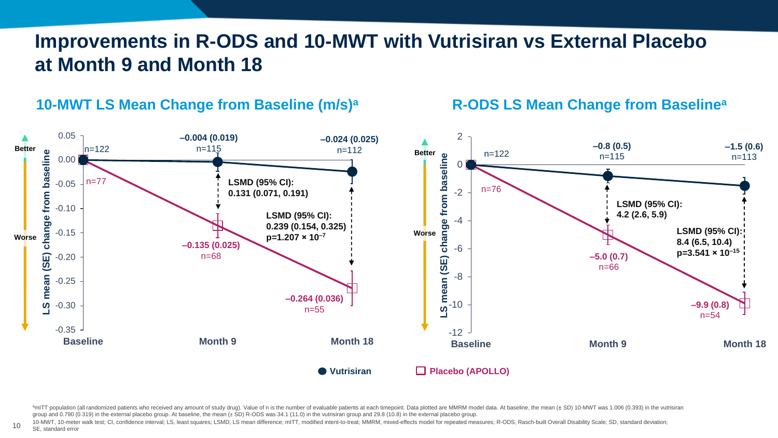## **Improvements in R-ODS and 10-MWT with Vutrisiran vs External Placebo at Month 9 and Month 18**

![](_page_9_Figure_1.jpeg)

**R-ODS LS Mean Change from Baseline<sup>a</sup>**

#### **10-MWT LS Mean Change from Baseline (m/s)<sup>a</sup>**

am ITT population (all randomized patients who received any amount of study drug). Value of n is the number of evaluable patients at each timepoint. Data plotted are MMRM model data. At baseline, the mean (± SD) 10-MWT was group and 0.790 (0.319) in the external placebo group. At baseline, the mean (± SD) R-ODS was 34.1 (11.0) in the vutrisiran group and 29.8 (10.8) in the external placebo group.

10-MWT, 10-meter walk test: CL confidence interval: LS, least squares: LSMD, LS mean difference: mITT, modified intent-to-treat: MMRM, mixed-effects model for repeated measures: R-ODS, Rasch-built Overall Disability Scale: SE, standard error

10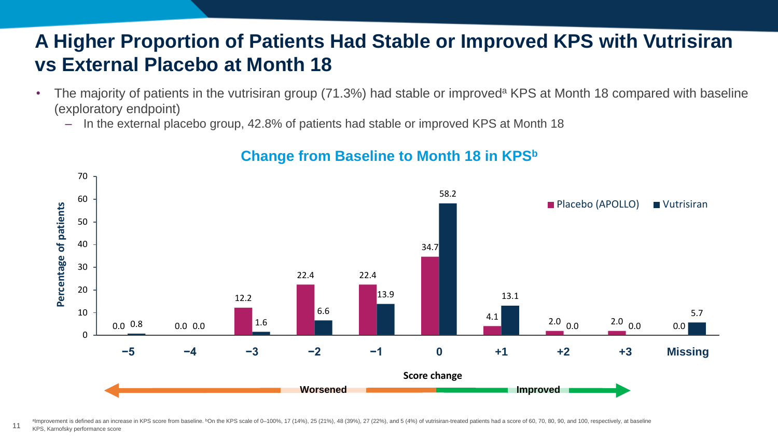## **A Higher Proportion of Patients Had Stable or Improved KPS with Vutrisiran vs External Placebo at Month 18**

- The majority of patients in the vutrisiran group (71.3%) had stable or improved<sup>a</sup> KPS at Month 18 compared with baseline (exploratory endpoint)
	- In the external placebo group, 42.8% of patients had stable or improved KPS at Month 18

![](_page_10_Figure_3.jpeg)

#### **Change from Baseline to Month 18 in KPS<sup>b</sup>**

11 a KPS score from baseline. <sup>b</sup>On the KPS scale of 0–100%, 17 (14%), 25 (21%), 48 (39%), 27 (22%), and 5 (4%) of vutrisiran-treated patients had a score of 60, 70, 80, 90, and 100, respectively, KPS, Karnofsky performance score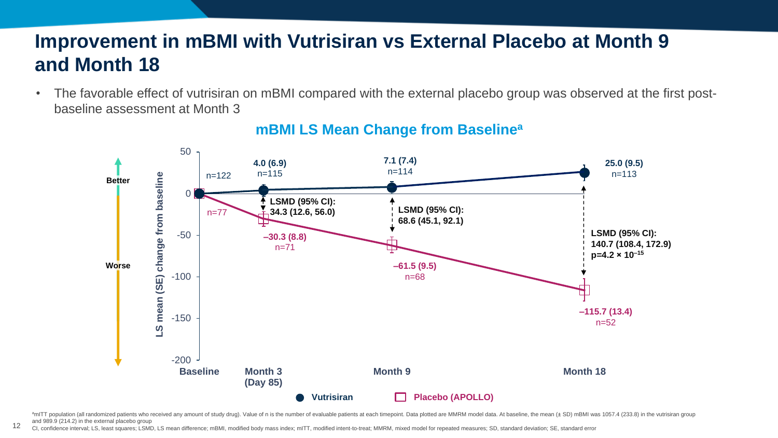# **Improvement in mBMI with Vutrisiran vs External Placebo at Month 9 and Month 18**

• The favorable effect of vutrisiran on mBMI compared with the external placebo group was observed at the first postbaseline assessment at Month 3

![](_page_11_Figure_2.jpeg)

#### **mBMI LS Mean Change from Baseline<sup>a</sup>**

amITT population (all randomized patients who received any amount of study drug). Value of n is the number of evaluable patients at each timepoint. Data plotted are MMRM model data. At baseline, the mean (± SD) mBMI was 10 and 989.9 (214.2) in the external placebo group

12

CI, confidence interval; LS, least squares; LSMD, LS mean difference; mBMI, modified body mass index; mITT, modified intent-to-treat; MMRM, mixed model for repeated measures; SD, standard deviation; SE, standard error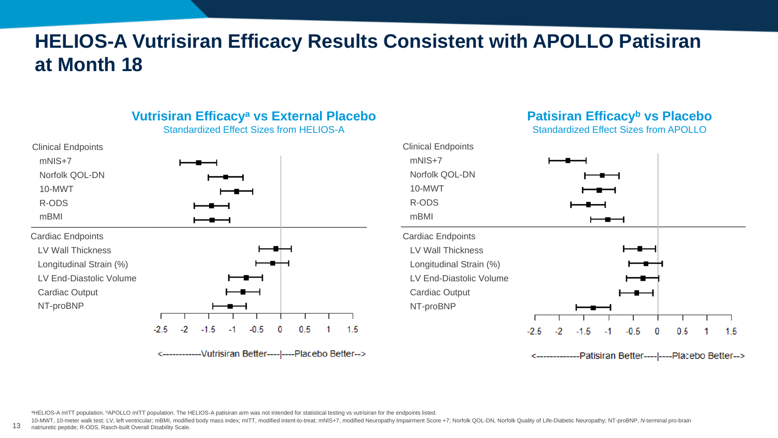## **HELIOS-A Vutrisiran Efficacy Results Consistent with APOLLO Patisiran at Month 18**

![](_page_12_Figure_1.jpeg)

<-------------Vutrisiran Better-----------Placebo Better-->

**Vutrisiran Efficacy<sup>a</sup> vs External Placebo**

#### **Patisiran Efficacy<sup>b</sup> vs Placebo**

Standardized Effect Sizes from APOLLO

![](_page_12_Figure_5.jpeg)

aHELIOS-A mITT population. **bAPOLLO mITT population. The HELIOS-A** patisiran arm was not intended for statistical testing vs vutrisiran for the endpoints listed.

10-MWT, 10-meter walk test: LV, left ventricular: mBMI, modified body mass index: mITT, modified intent-to-treat: mNIS+7, modified Neuropathy Impairment Score +7: Norfolk QOL-DN, Norfolk Quality of Life-Diabetic Neuropathy

13 natriuretic peptide; R-ODS, Rasch-built Overall Disability Scale.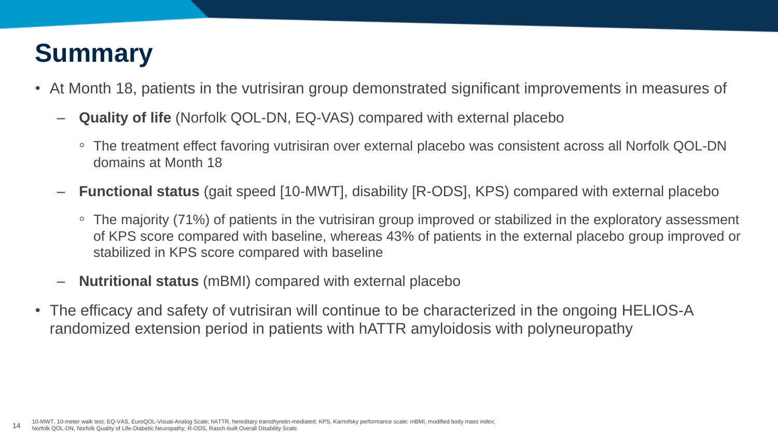# **Summary**

- At Month 18, patients in the vutrisiran group demonstrated significant improvements in measures of
	- **Quality of life** (Norfolk QOL-DN, EQ-VAS) compared with external placebo
		- The treatment effect favoring vutrisiran over external placebo was consistent across all Norfolk QOL-DN domains at Month 18
	- **Functional status** (gait speed [10-MWT], disability [R-ODS], KPS) compared with external placebo
		- The majority (71%) of patients in the vutrisiran group improved or stabilized in the exploratory assessment of KPS score compared with baseline, whereas 43% of patients in the external placebo group improved or stabilized in KPS score compared with baseline
	- **Nutritional status** (mBMI) compared with external placebo
- The efficacy and safety of vutrisiran will continue to be characterized in the ongoing HELIOS-A randomized extension period in patients with hATTR amyloidosis with polyneuropathy